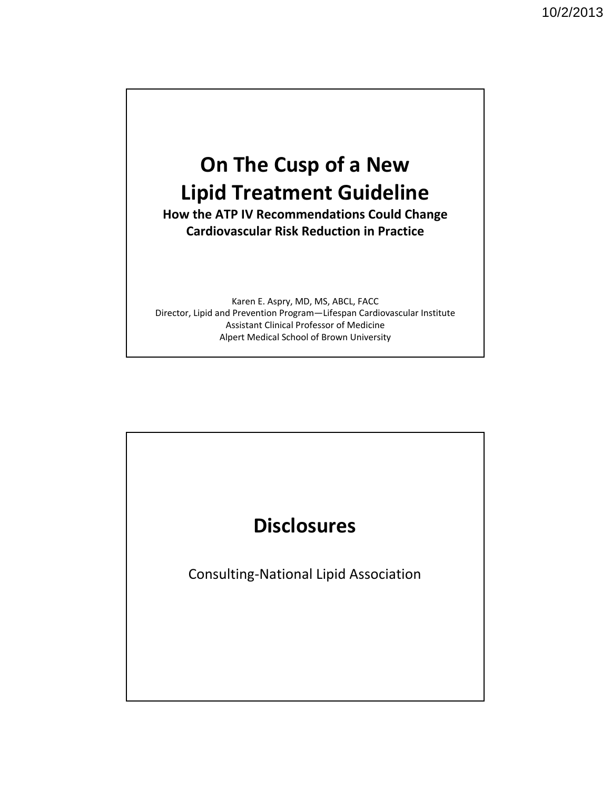## **On The Cusp of a New Lipid Treatment Guideline**

**How the ATP IV Recommendations Could Change Cardiovascular Risk Reduction in Practice** 

Karen E. Aspry, MD, MS, ABCL, FACC Director, Lipid and Prevention Program—Lifespan Cardiovascular Institute Assistant Clinical Professor of Medicine Alpert Medical School of Brown University

# **Disclosures**

Consulting‐National Lipid Association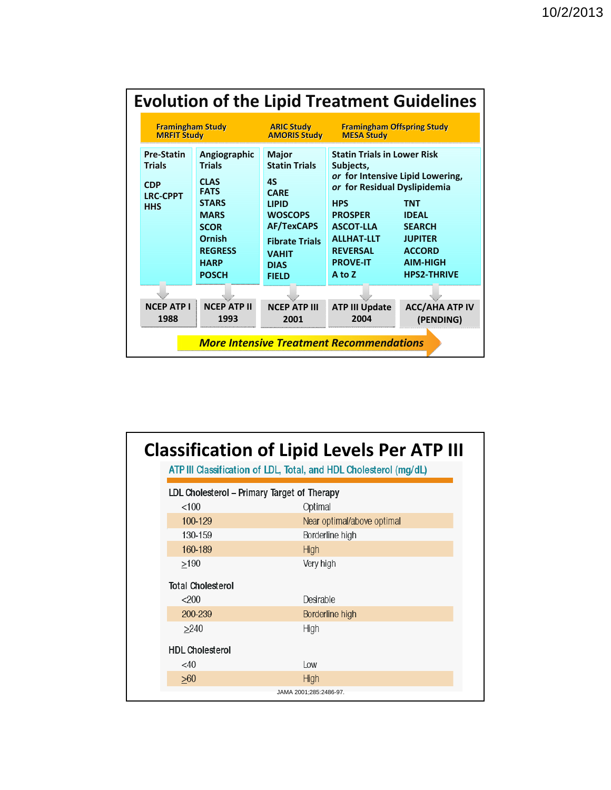|                                                                                   |                                                                                                                                                                      |                                                                                                                                                                                                 |                                                                                                                                                                                                                                              | <b>Evolution of the Lipid Treatment Guidelines</b>                                                                      |
|-----------------------------------------------------------------------------------|----------------------------------------------------------------------------------------------------------------------------------------------------------------------|-------------------------------------------------------------------------------------------------------------------------------------------------------------------------------------------------|----------------------------------------------------------------------------------------------------------------------------------------------------------------------------------------------------------------------------------------------|-------------------------------------------------------------------------------------------------------------------------|
| <b>Framingham Study</b><br><b>MRFIT Study</b>                                     |                                                                                                                                                                      | <b>ARIC Study</b><br><b>AMORIS Study</b>                                                                                                                                                        | <b>Framingham Offspring Study</b><br><b>MESA Study</b>                                                                                                                                                                                       |                                                                                                                         |
| <b>Pre-Statin</b><br><b>Trials</b><br><b>CDP</b><br><b>LRC-CPPT</b><br><b>HHS</b> | Angiographic<br><b>Trials</b><br><b>CLAS</b><br><b>FATS</b><br><b>STARS</b><br><b>MARS</b><br><b>SCOR</b><br>Ornish<br><b>REGRESS</b><br><b>HARP</b><br><b>POSCH</b> | <b>Major</b><br><b>Statin Trials</b><br><b>4S</b><br><b>CARF</b><br><b>LIPID</b><br><b>WOSCOPS</b><br><b>AF/TexCAPS</b><br><b>Fibrate Trials</b><br><b>VAHIT</b><br><b>DIAS</b><br><b>FIELD</b> | <b>Statin Trials in Lower Risk</b><br>Subjects,<br>or for Intensive Lipid Lowering,<br>or for Residual Dyslipidemia<br><b>HPS</b><br><b>PROSPER</b><br><b>ASCOT-LLA</b><br><b>ALLHAT-LLT</b><br><b>REVERSAL</b><br><b>PROVE-IT</b><br>A to Z | <b>TNT</b><br><b>IDEAL</b><br><b>SEARCH</b><br><b>JUPITER</b><br><b>ACCORD</b><br><b>AIM-HIGH</b><br><b>HPS2-THRIVE</b> |
|                                                                                   |                                                                                                                                                                      |                                                                                                                                                                                                 |                                                                                                                                                                                                                                              |                                                                                                                         |
| <b>NCEP ATP I</b><br>1988                                                         | <b>NCEP ATP II</b><br>1993                                                                                                                                           | <b>NCEP ATP III</b><br>2001                                                                                                                                                                     | <b>ATP III Update</b><br>2004                                                                                                                                                                                                                | <b>ACC/AHA ATP IV</b><br>(PENDING)                                                                                      |
|                                                                                   |                                                                                                                                                                      |                                                                                                                                                                                                 | <b>More Intensive Treatment Recommendations</b>                                                                                                                                                                                              |                                                                                                                         |

|                                             | <b>Classification of Lipid Levels Per ATP III</b><br>ATP III Classification of LDL, Total, and HDL Cholesterol (mg/dL) |
|---------------------------------------------|------------------------------------------------------------------------------------------------------------------------|
| LDL Cholesterol - Primary Target of Therapy |                                                                                                                        |
| < 100                                       | Optimal                                                                                                                |
| 100-129                                     | Near optimal/above optimal                                                                                             |
| 130-159                                     | Borderline high                                                                                                        |
| 160-189                                     | High                                                                                                                   |
| >190                                        | Very high                                                                                                              |
| <b>Total Cholesterol</b>                    |                                                                                                                        |
| < 200                                       | Desirable                                                                                                              |
| 200-239                                     | Borderline high                                                                                                        |
| >240                                        | High                                                                                                                   |
| <b>HDL Cholesterol</b>                      |                                                                                                                        |
| $<$ 40                                      | 10W                                                                                                                    |
| >60                                         | High                                                                                                                   |
|                                             | JAMA 2001;285:2486-97.                                                                                                 |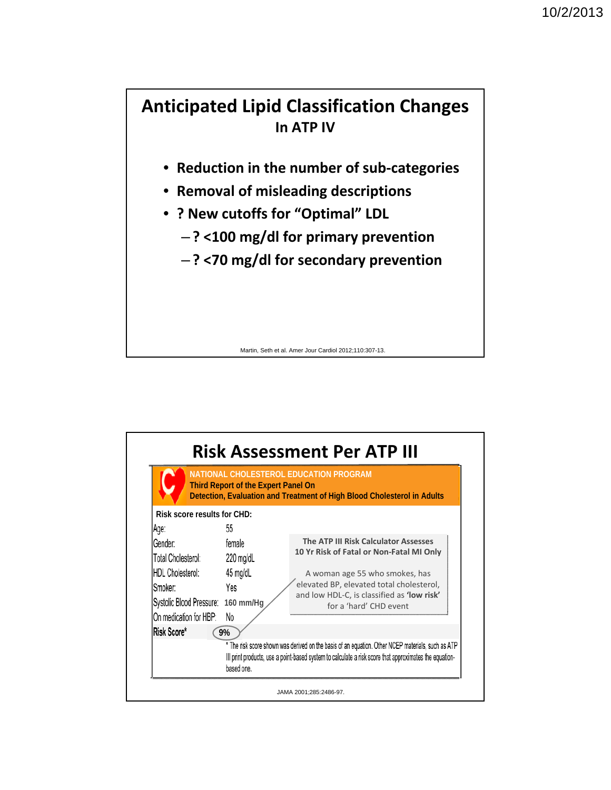#### **Anticipated Lipid Classification Changes In ATP IV**

- **Reduction in the number of sub‐categories**
- **Removal of misleading descriptions**
- **? New cutoffs for "Optimal" LDL**
	- **? <100 mg/dl for primary prevention**
	- **? <70 mg/dl for secondary prevention**

Martin, Seth et al. Amer Jour Cardiol 2012;110:307-13.

|                                    | <b>Third Report of the Expert Panel On</b> | NATIONAL CHOLESTEROL EDUCATION PROGRAM<br>Detection, Evaluation and Treatment of High Blood Cholesterol in Adults                                                                                           |
|------------------------------------|--------------------------------------------|-------------------------------------------------------------------------------------------------------------------------------------------------------------------------------------------------------------|
| <b>Risk score results for CHD:</b> |                                            |                                                                                                                                                                                                             |
| Age:                               | 55                                         |                                                                                                                                                                                                             |
| Gender:                            | female                                     | The ATP III Risk Calculator Assesses                                                                                                                                                                        |
| Total Cholesterol:                 | 220 mg/dL                                  | 10 Yr Risk of Fatal or Non-Fatal MI Only                                                                                                                                                                    |
| HDL Cholesterol:                   | 45 mg/dL                                   | A woman age 55 who smokes, has                                                                                                                                                                              |
| Smoker:                            | Yes                                        | elevated BP, elevated total cholesterol,                                                                                                                                                                    |
| Systolic Blood Pressure: 160 mm/Hg |                                            | and low HDL-C, is classified as 'low risk'<br>for a 'hard' CHD event                                                                                                                                        |
| On medication for HBP:             | No                                         |                                                                                                                                                                                                             |
| Risk Score*                        | 9%                                         |                                                                                                                                                                                                             |
|                                    | based one.                                 | * The risk score shown was derived on the basis of an equation. Other NCEP materials, such as ATP<br>III print products, use a point-based system to calculate a risk score that approximates the equation- |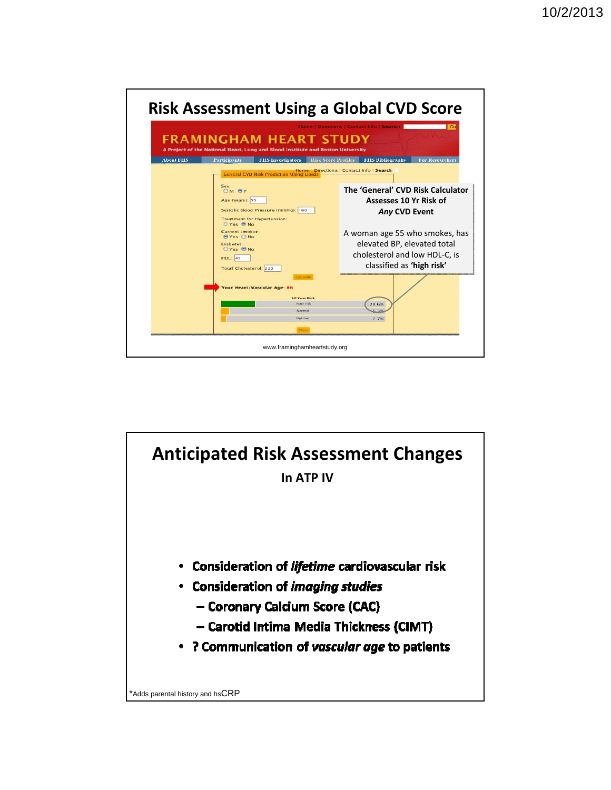

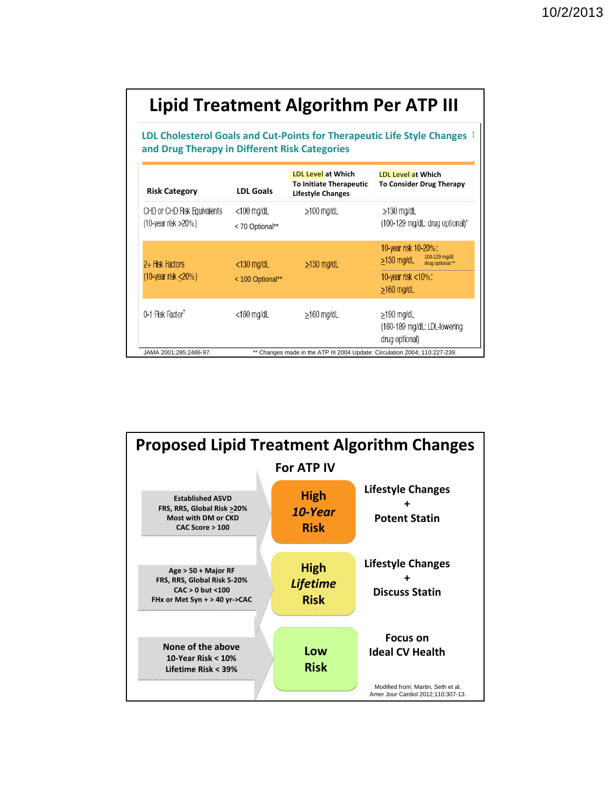|                                                       |                                   | Lipid Treatment Algorithm Per ATP III                                                   |                                                                                                                  |
|-------------------------------------------------------|-----------------------------------|-----------------------------------------------------------------------------------------|------------------------------------------------------------------------------------------------------------------|
| and Drug Therapy in Different Risk Categories         |                                   |                                                                                         | LDL Cholesterol Goals and Cut-Points for Therapeutic Life Style Changes                                          |
| <b>Risk Category</b>                                  | <b>LDL Goals</b>                  | <b>LDL Level at Which</b><br><b>To Initiate Therapeutic</b><br><b>Lifestyle Changes</b> | <b>LDL Level at Which</b><br><b>To Consider Drug Therapy</b>                                                     |
| CHD or CHD Risk Equivalents<br>$(10$ -year risk >20%) | $<$ 100 mg/dL<br>< 70 Optional**  | $\geq$ 100 mg/dL                                                                        | $\geq$ 130 mg/dL<br>(100-129 mg/dL: drug optional)*                                                              |
| 2+ Risk Factors<br>$(10$ -year risk $\leq$ 20%)       | $<$ 130 mg/dL<br>< 100 Optional** | $\geq$ 130 mg/dL                                                                        | 10-year risk 10-20%:<br>100-129 mg/dl:<br>$>130$ mg/dL<br>drug optional **<br>10-year risk <10%:<br>$>160$ mg/dL |
| 0-1 Risk Factor <sup>†</sup>                          | $<$ 160 mg/dL                     | $\geq$ 160 mg/dL                                                                        | ≥190 mg/dL<br>(160-189 mg/dL: LDL-lowering<br>drug optional)                                                     |
| JAMA 2001;285:2486-97.                                |                                   | ** Changes made in the ATP III 2004 Update: Circulation 2004; 110:227-239.              |                                                                                                                  |

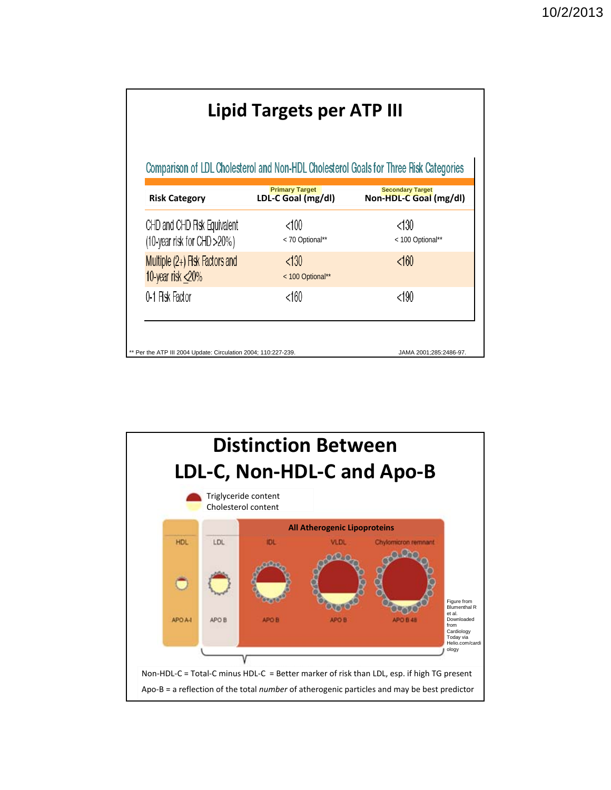|                                                            |                                             | Comparison of LDL Cholesterol and Non-HDL Cholesterol Goals for Three Risk Categories |
|------------------------------------------------------------|---------------------------------------------|---------------------------------------------------------------------------------------|
| <b>Risk Category</b>                                       | <b>Primary Target</b><br>LDL-C Goal (mg/dl) | <b>Secondary Target</b><br>Non-HDL-C Goal (mg/dl)                                     |
| CHD and CHD Risk Equivalent<br>(10-year risk for CHD >20%) | $<$ 100<br>< 70 Optional**                  | <130<br>< 100 Optional**                                                              |
| Multiple (2+) Fisk Factors and<br>10-year risk <20%        | < 130<br>< 100 Optional**                   | < 160                                                                                 |
| 0-1 Pisk Factor                                            | <160                                        | $<$ 190                                                                               |

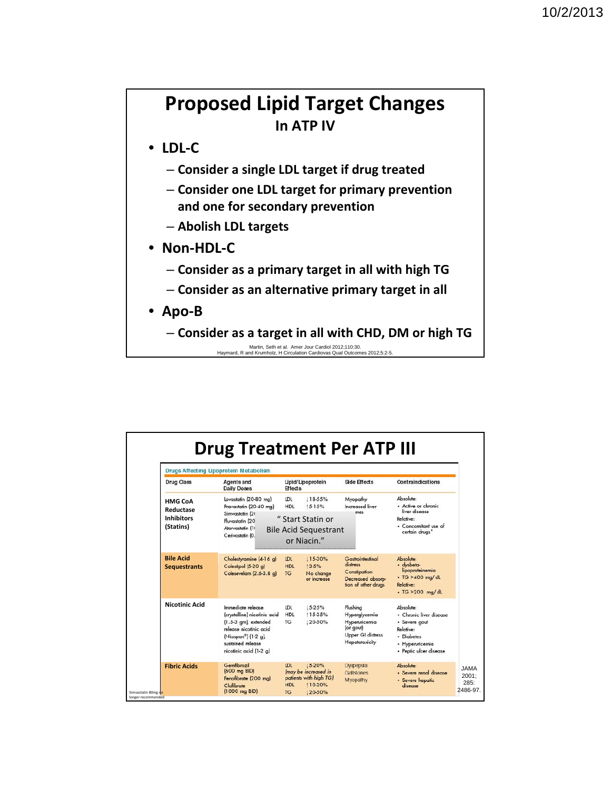### **Proposed Lipid Target Changes In ATP IV**

• **LDL‐C**

- **Consider a single LDL target if drug treated**
- **Consider one LDL target for primary prevention and one for secondary prevention**
- **Abolish LDL targets**
- **Non‐HDL‐C** 
	- **Consider as a primary target in all with high TG**
	- **Consider as an alternative primary target in all**
- **Apo‐B**

– **Consider as a target in all with CHD, DM or high TG** 

Martin, Seth et al. Amer Jour Cardiol 2012;110:30. Haymard, R and Krumholz, H Circulation Cardiovas Qual Outcomes 2012;5:2-5.

|                                                               | <b>Drugs Affecting Lipoprotein Metabolism</b>                                                                                                                                           |                                       |                                                                                |                                                                                               |                                                                                                                              |
|---------------------------------------------------------------|-----------------------------------------------------------------------------------------------------------------------------------------------------------------------------------------|---------------------------------------|--------------------------------------------------------------------------------|-----------------------------------------------------------------------------------------------|------------------------------------------------------------------------------------------------------------------------------|
| <b>Drug Class</b>                                             | Agents and<br><b>Daily Doses</b>                                                                                                                                                        | Lipid/Lipoprotein<br><b>Effects</b>   |                                                                                | Side Effects                                                                                  | Contraindications                                                                                                            |
| <b>HMG CoA</b><br>Reductase<br><b>Inhibitors</b><br>(Statins) | Lovastatin (20-80 ma)<br>Pravastatin (20-40 mg)                                                                                                                                         | <b>LDL</b><br><b>HDL</b>              | 118-55%<br>15-15%                                                              | Myopathy<br>Increased liver<br>$---max$                                                       | Absolute:<br>· Active or chronic<br>liver disease                                                                            |
|                                                               | Simvastatin (20<br>Fluvastatin (20)<br>Atorvastatin (1)<br>Cerivastatin (0.                                                                                                             |                                       | " Start Statin or<br><b>Bile Acid Sequestrant</b><br>or Niacin."               |                                                                                               | Relative:<br>· Concomitant use of<br>certain drugs"                                                                          |
| <b>Bile Acid</b><br><b>Sequestrants</b>                       | Cholestyramine (4-16 g)<br>Colestipol (5-20 g)<br>Colesevelam (2.6-3.8 g)                                                                                                               | <b>IDL</b><br>HDL<br><b>TG</b>        | 115-30%<br>13-5%<br>No change<br>or increase                                   | Gastrointestinal<br>distress<br>Constipation<br>Decreased absorp-<br>tion of other drugs      | Absolute:<br>· dysbeta-<br>lipoproteinemia<br>· TG >400 mg/dL<br>Relative:<br>- TG > 200 mg/dL                               |
| <b>Nicotinic Acid</b>                                         | Immediate release<br>(crystalline) nicotinic acid<br>$(1.53gm]$ , extended<br>release nicotinic acid<br>(Niaspan <sup>®</sup> ) (1-2 a).<br>sustained release<br>nicotinic acid (1-2 g) | <b>IDL</b><br><b>HDL</b><br><b>TG</b> | $15 - 25%$<br>115-35%<br>120-50%                                               | Flushing<br>Hyperglycemia<br>Hyperuncemia<br>(or gout)<br>Upper GI distress<br>Hepatotoxicity | Ahsolute:<br>· Chronic liver disease<br>· Severe gout<br>Relative:<br>· Diabetes<br>· Hyperuncemia<br>· Peptic ulcer disease |
| <b>Fibric Acids</b>                                           | Gemfibrozil<br>(600 mg BID)<br>Fenofibrate (200 mg)<br>Clofibrate<br>$(1000 \text{ mg } BID)$                                                                                           | <b>IDL</b><br><b>HDL</b><br><b>TG</b> | 15-20%<br>Imay be increased in<br>patients with high TG)<br>110-20%<br>120-50% | Dyspepsia<br>Gallstones<br>Myopathy                                                           | Absolute:<br>· Severe renal disease<br>· Severe hepatic<br>disease                                                           |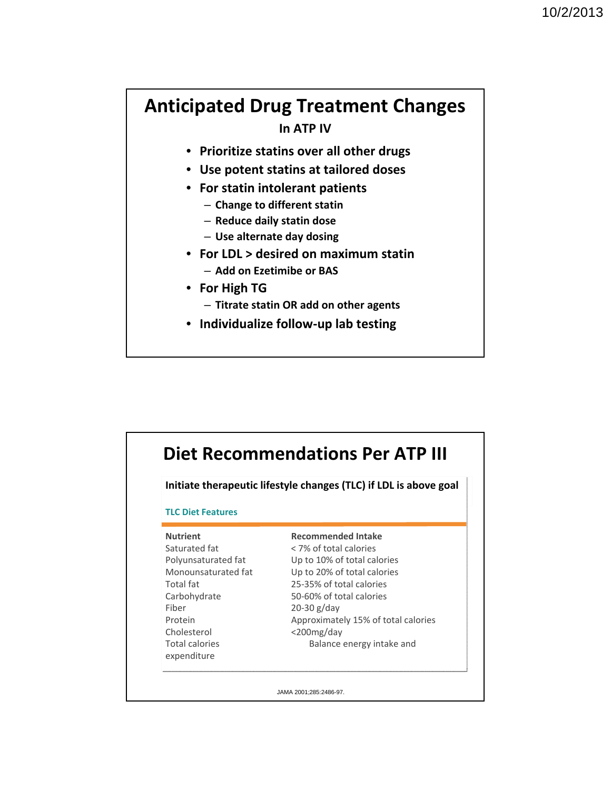## **Anticipated Drug Treatment Changes**

**In ATP IV**

- **Prioritize statins over all other drugs**
- **Use potent statins at tailored doses**
- **For statin intolerant patients**
	- **Change to different statin**
	- **Reduce daily statin dose**
	- **Use alternate day dosing**
- **For LDL > desired on maximum statin** 
	- **Add on Ezetimibe or BAS**
- **For High TG**
	- **Titrate statin OR add on other agents**
- **Individualize follow‐up lab testing**